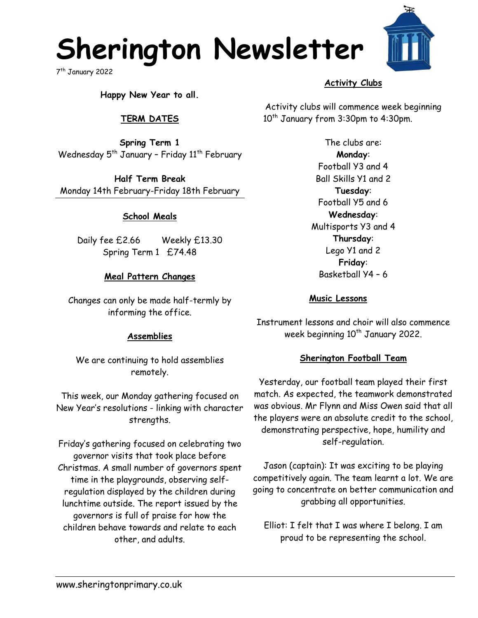## **Sherington Newsletter**

7 th January 2022



**Happy New Year to all.**

## **TERM DATES**

**Spring Term 1** Wednesday  $5<sup>th</sup>$  January - Friday  $11<sup>th</sup>$  February

**Half Term Break** Monday 14th February-Friday 18th February

#### **School Meals**

Daily fee £2.66 Weekly £13.30 Spring Term 1 £74.48

#### **Meal Pattern Changes**

Changes can only be made half-termly by informing the office.

#### **Assemblies**

We are continuing to hold assemblies remotely.

This week, our Monday gathering focused on New Year's resolutions - linking with character strengths.

Friday's gathering focused on celebrating two governor visits that took place before Christmas. A small number of governors spent time in the playgrounds, observing selfregulation displayed by the children during lunchtime outside. The report issued by the governors is full of praise for how the children behave towards and relate to each other, and adults.

## **Activity Clubs**

Activity clubs will commence week beginning 10<sup>th</sup> January from 3:30pm to 4:30pm.

> The clubs are: **Monday**: Football Y3 and 4 Ball Skills Y1 and 2 **Tuesday**: Football Y5 and 6 **Wednesday**: Multisports Y3 and 4 **Thursday**: Lego Y1 and 2 **Friday**: Basketball Y4 – 6

#### **Music Lessons**

Instrument lessons and choir will also commence week beginning  $10^{th}$  January 2022.

#### **Sherington Football Team**

Yesterday, our football team played their first match. As expected, the teamwork demonstrated was obvious. Mr Flynn and Miss Owen said that all the players were an absolute credit to the school, demonstrating perspective, hope, humility and self-regulation.

Jason (captain): It was exciting to be playing competitively again. The team learnt a lot. We are going to concentrate on better communication and grabbing all opportunities.

Elliot: I felt that I was where I belong. I am proud to be representing the school.